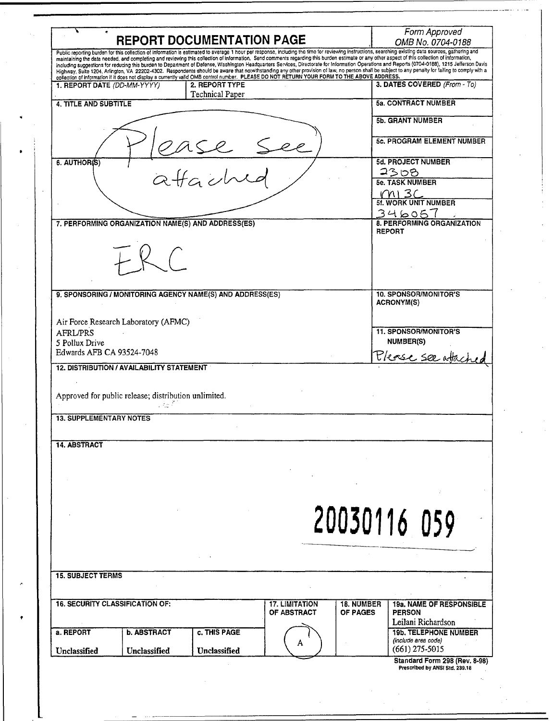| <b>REPORT DOCUMENTATION PAGE</b>                                                                                                                                                                                                                                                                                                                                                                       | Form Approved<br>OMB No. 0704-0188                                         |
|--------------------------------------------------------------------------------------------------------------------------------------------------------------------------------------------------------------------------------------------------------------------------------------------------------------------------------------------------------------------------------------------------------|----------------------------------------------------------------------------|
| Public reporting burden for this collection of information is estimated to average 1 hour per response, including the time for reviewing instructions, searching existing data sources, gathering and<br>maintaining the data needed, and completing and reviewing this collection of information. Send comments regarding this burden estimate or any other aspect of this collection of information, |                                                                            |
| including suggestions for reducing this burden to Department of Defense, Washington Headquarters Services, Directorate for Information Operations and Reports (0704-0188), 1215 Jefferson Davis                                                                                                                                                                                                        |                                                                            |
| Highway, Suite 1204, Arlington, VA 22202-4302. Respondents should be aware that notwithstanding any other provision of law, no person shall be subject to any penalty for failing to comply with a<br>collection of information if it does not display a currently valid OMB control number. PLEASE DO NOT RETURN YOUR FORM TO THE ABOVE ADDRESS.                                                      |                                                                            |
| 2. REPORT TYPE<br>1. REPORT DATE (DD-MM-YYYY)                                                                                                                                                                                                                                                                                                                                                          | 3. DATES COVERED (From - To)                                               |
| Technical Paper<br>4. TITLE AND SUBTITLE                                                                                                                                                                                                                                                                                                                                                               | <b>5a. CONTRACT NUMBER</b>                                                 |
|                                                                                                                                                                                                                                                                                                                                                                                                        | <b>5b. GRANT NUMBER</b>                                                    |
|                                                                                                                                                                                                                                                                                                                                                                                                        |                                                                            |
|                                                                                                                                                                                                                                                                                                                                                                                                        | <b>5c. PROGRAM ELEMENT NUMBER</b>                                          |
| 6. AUTHOR(S)                                                                                                                                                                                                                                                                                                                                                                                           | <b>5d. PROJECT NUMBER</b>                                                  |
| affached                                                                                                                                                                                                                                                                                                                                                                                               | 2308<br><b>5e. TASK NUMBER</b>                                             |
|                                                                                                                                                                                                                                                                                                                                                                                                        |                                                                            |
|                                                                                                                                                                                                                                                                                                                                                                                                        | $\frac{1}{10}$ M   3C<br>5f. WORK UNIT NUMBER                              |
|                                                                                                                                                                                                                                                                                                                                                                                                        | 346057                                                                     |
| 7. PERFORMING ORGANIZATION NAME(S) AND ADDRESS(ES)                                                                                                                                                                                                                                                                                                                                                     | 8. PERFORMING ORGANIZATION<br><b>REPORT</b>                                |
|                                                                                                                                                                                                                                                                                                                                                                                                        |                                                                            |
|                                                                                                                                                                                                                                                                                                                                                                                                        |                                                                            |
|                                                                                                                                                                                                                                                                                                                                                                                                        |                                                                            |
| 9. SPONSORING / MONITORING AGENCY NAME(S) AND ADDRESS(ES)                                                                                                                                                                                                                                                                                                                                              | <b>10. SPONSOR/MONITOR'S</b>                                               |
|                                                                                                                                                                                                                                                                                                                                                                                                        | <b>ACRONYM(S)</b>                                                          |
|                                                                                                                                                                                                                                                                                                                                                                                                        |                                                                            |
| Air Force Research Laboratory (AFMC)<br><b>AFRL/PRS</b>                                                                                                                                                                                                                                                                                                                                                | <b>11. SPONSOR/MONITOR'S</b>                                               |
| 5 Pollux Drive                                                                                                                                                                                                                                                                                                                                                                                         | <b>NUMBER(S)</b>                                                           |
| Edwards AFB CA 93524-7048                                                                                                                                                                                                                                                                                                                                                                              |                                                                            |
| <b>12. DISTRIBUTION / AVAILABILITY STATEMENT</b>                                                                                                                                                                                                                                                                                                                                                       | Please see atached                                                         |
|                                                                                                                                                                                                                                                                                                                                                                                                        |                                                                            |
|                                                                                                                                                                                                                                                                                                                                                                                                        |                                                                            |
| Approved for public release; distribution unlimited.<br>i več 1                                                                                                                                                                                                                                                                                                                                        |                                                                            |
| <b>13. SUPPLEMENTARY NOTES</b>                                                                                                                                                                                                                                                                                                                                                                         |                                                                            |
|                                                                                                                                                                                                                                                                                                                                                                                                        |                                                                            |
| <b>14. ABSTRACT</b>                                                                                                                                                                                                                                                                                                                                                                                    |                                                                            |
|                                                                                                                                                                                                                                                                                                                                                                                                        |                                                                            |
|                                                                                                                                                                                                                                                                                                                                                                                                        |                                                                            |
|                                                                                                                                                                                                                                                                                                                                                                                                        |                                                                            |
|                                                                                                                                                                                                                                                                                                                                                                                                        |                                                                            |
|                                                                                                                                                                                                                                                                                                                                                                                                        |                                                                            |
|                                                                                                                                                                                                                                                                                                                                                                                                        |                                                                            |
|                                                                                                                                                                                                                                                                                                                                                                                                        |                                                                            |
|                                                                                                                                                                                                                                                                                                                                                                                                        |                                                                            |
|                                                                                                                                                                                                                                                                                                                                                                                                        | 20030116 059                                                               |
|                                                                                                                                                                                                                                                                                                                                                                                                        |                                                                            |
|                                                                                                                                                                                                                                                                                                                                                                                                        |                                                                            |
|                                                                                                                                                                                                                                                                                                                                                                                                        |                                                                            |
| <b>15. SUBJECT TERMS</b>                                                                                                                                                                                                                                                                                                                                                                               |                                                                            |
| <b>16. SECURITY CLASSIFICATION OF:</b><br><b>17. LIMITATION</b>                                                                                                                                                                                                                                                                                                                                        | <b>18. NUMBER</b>                                                          |
| OF ABSTRACT                                                                                                                                                                                                                                                                                                                                                                                            | <b>OF PAGES</b><br><b>PERSON</b>                                           |
|                                                                                                                                                                                                                                                                                                                                                                                                        | Leilani Richardson                                                         |
| c. THIS PAGE<br><b>b. ABSTRACT</b>                                                                                                                                                                                                                                                                                                                                                                     | <b>19b. TELEPHONE NUMBER</b>                                               |
| a. REPORT<br>A<br>Unclassified<br>Unclassified<br>Unclassified                                                                                                                                                                                                                                                                                                                                         | <b>19a. NAME OF RESPONSIBLE</b><br>(include area code)<br>$(661)$ 275-5015 |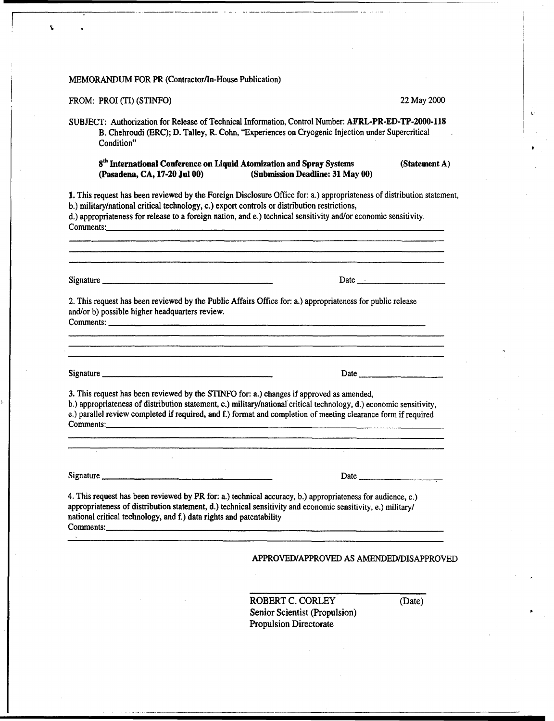### MEMORANDUM FOR PR (Contractor/In-House Publication)

# FROM: PROI (TI) (STINFO) 22 May 2000

۲

SUBJECT: Authorization for Release of Technical Information, Control Number: AFRL-PR-ED-TP-2000-118 B. Chehroudi (ERC); D. Talley, R. Cohn, "Experiences on Cryogenic Injection under Supercritical Condition"

# $8<sup>th</sup>$  International Conference on Liquid Atomization and Spray Systems (Statement A) (Pasadena, CA, 17-20 Jul 00) (Submission Deadline: 31 May 00) (Submission Deadline: 31 May 00)

<u> 1980 - Barrett Barrett, fransk fotball i den staten og den blev fotballet og det blev fotballet og det blev fotballet og det blev fotballet og det blev fotballet og det blev fotballet og det blev fotballet og det blev fo</u>

1. This request has been reviewed by the Foreign Disclosure Office for: a.) appropriateness of distribution statement, b.) military/national critical technology, c.) export controls or distribution restrictions,

d.) appropriateness for release to a foreign nation, and e.) technical sensitivity and/or economic sensitivity. Comments:

Signature **Date Date Date Date Date Date Date D** 

2. This request has been reviewed by the Public Affairs Office for: a.) appropriateness for public release and/or b) possible higher headquarters review. Comments:

Signature **Example 2018** Signature **Date Date Date Date Date Date Date Date Date Date Date Date Date Date D** 

3. This request has been reviewed by the STINFO for: a.) changes if approved as amended,

b.) appropriateness of distribution statement, c.) military/national critical technology, d.) economic sensitivity, e.) parallel review completed if required, and f.) format and completion of meeting clearance form if required Comments:

Signature <u>Communications</u> Contains a Date of the Date of the Date of the Date of the Date of the Date of the Date of the Date of the Date of the Date of the Date of the Date of the Date of the Date of the Date of the Date

4. This request has been reviewed by PR for: a.) technical accuracy, b.) appropriateness for audience, c.) appropriateness of distribution statement, d.) technical sensitivity and economic sensitivity, e.) military/ national critical technology, and f.) data rights and patentability Comments:

## APPROVED/APPROVED AS AMENDED/DISAPPROVED

ROBERT C. CORLEY (Date) Senior Scientist (Propulsion) Propulsion Directorate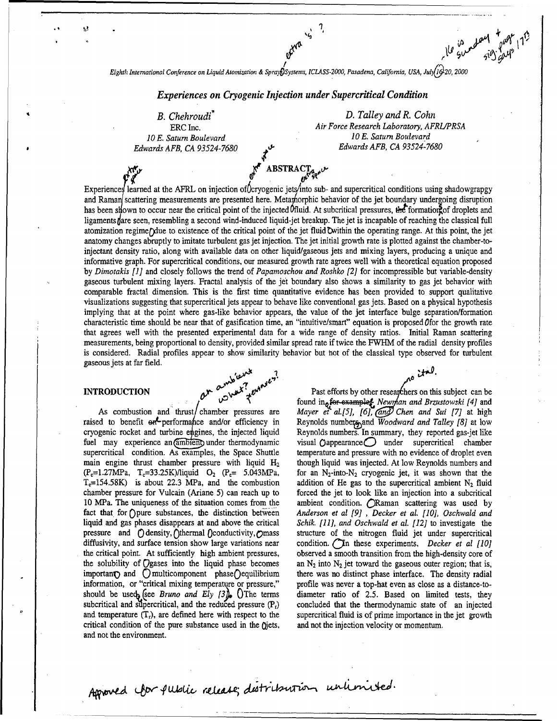$\mathcal{L}$  atomization  $\mathcal{L}$ Eighth International Conference on Liquid Atomization & Spray Systems, ICLASS-2000, Pasadena, California, USA, July 16 20, 2000

# $E_{\rm eff} = 0.000$  and  $E_{\rm eff} = 0.000$  and  $E_{\rm eff} = 0.000$  under Supercritical Condition under Supercritical Condition B. Chehroudi\* D. Talley and R. Cohn

ΩÙ.

Edwards AFB, CA 93524-7680

, and the step of  $\mathcal{A}$ 

 $\mathbf{r}_i = \mathbf{r}_i + \mathbf{r}_j$  ,  $\mathbf{r}_i = \mathbf{r}_i + \mathbf{r}_j$  ,  $\mathbf{r}_i = \mathbf{r}_i + \mathbf{r}_j$  ,  $\mathbf{r}_i = \mathbf{r}_i + \mathbf{r}_j$  ,  $\mathbf{r}_i = \mathbf{r}_i + \mathbf{r}_j$  ,  $\mathbf{r}_i = \mathbf{r}_i + \mathbf{r}_j$  ,  $\mathbf{r}_i = \mathbf{r}_i + \mathbf{r}_j$  ,  $\mathbf{r}_i = \mathbf{r}_i + \mathbf{r}_j$ 

ERC Inc. **ERC Inc.** Air Force Research Laboratory, AFI<br>Air Force Research Laboratory, AFI Air Force Research Laboratory, AFRL/PRSA<br>10 E. Saturn Boulevard Edwards AFB, CA 93524-7680 .• O, Edwards AFB, CA 93524-7680

 $E_{\text{eff}}$ Experiences learned at the AFRL on injection of Coryogenic jets into sub- and supercritical conditions using shadowgrapgy and Raman scattering measurements are presented here. Metamorphic behavior of the jet boundary undergoing disruption has been silown to occur near the critical point of the injected Ofluid. At subcritical pressures, the formation of droplets and ligaments fare seen, resembling a second wind-induced liquid-jet breakup. The jet is incapable of reaching the classical full atomization regime/ due to existence of the critical point of the jet fluid Owithin the operating range. At this point, the jet anatomy changes abruptly to imitate turbulent gas jet injection. The jet initial growth rate is plotted against the chamber-toinjectant density ratio, along with available data on other liquid/gaseous jets and mixing layers, producing a unique and informative graph. For supercritical conditions, our measured growth rate agrees well with a theoretical equation proposed by Dimotakis [1] and closely follows the trend of Papamoschou and Roshko [2] for incompressible but variable-density gaseous turbulent mixing layers. Fractal analysis of the jet boundary also shows a similarity to gas jet behavior with comparable fractal dimension. This is the first time quantitative evidence has been provided to support qualitative visualizations suggesting that supercritical jets appear to behave like conventional gas-lets. Based on a physical hypothesis implying that at the point where gas-like behavior appears, the value of the jet interface bulge separation/formation characteristic time should be near that of gasification time, an "intuitive/smart" equation is proposed (for the growth rate that agrees well with the presented experimental data for a wide range of density ratios. Initial Raman scattering measurements, being proportional to density, provided similar spread rate if twice the FWHM of the radial density profiles is considered. Radial profiles appear to show similarity behavior but not of the classical type observed for turbulent gaseous jets at far field.

raised to benefit ont performance and/or efficiency in Reynolds numbers, and Woodward and Talley [8] at low cryogenic rocket and turbine engines, the injected liquid Reynolds numbers. In summary, they reported gas-jet like fuel may experience an  $\overline{\text{ambien}}$  under thermodynamic visual  $\overline{\text{O}}$  appearance under supercritical chamber supercritical condition. As examples, the Space Shuttle temperature and pressure with no evidence of droplet main engine thrust chamber pressure with liquid  $H_2$  though liquid was injected. At low Reynolds numbers and  $(P_e=1.27MPa, T_e=33.25K)/$ liquid  $O_2$   $(P_e= 5.043MPa,$  for an N<sub>2</sub>-into-N<sub>2</sub> cryogenic jet, it was shown that the  $(T_c=1.27 MPa$ ,  $T_c=33.25 K/l$ iquid  $O_2$  ( $P_c=5.043 MPa$ , for an  $N_2$ -into- $N_2$  cryogenic jet, it was shown that the  $T_c=154.58 K$ ) is about 22.3 MPa, and the combustion addition of He gas to the supercritical ambient N<sub>2</sub> flu  $T_c$ =154.58K) is about 22.3 MPa, and the combustion addition of He gas to the supercritical ambient N<sub>2</sub> fluid chamber pressure for Vulcain (Ariane 5) can reach up to forced the jet to look like an injection into a subcri chamber pressure for Vulcain (Ariane 5) can reach up to 10 MPa. The uniqueness of the situation comes from the fact that for Opure substances, the distinction between Anderson et al  $[9]$ , Decker et al. [10], Oschwald and liquid and gas phases disappears at and above the critical Schik. [11], and Oschwald et al. [12] to investigat liquid and gas phases disappears at and above the critical pressure and  $\bigcirc$  density,  $\bigcirc$ thermal  $\bigcirc$  conductivity,  $\bigcirc$  mass structure of the nitrogen fluid jet under supercritical diffusivity, and surface tension show large variations near condition.  $\hat{C}$ In these experiments, *Decker et al [10]* the critical point. At sufficiently high ambient pressures, observed a smooth transition from the hig the solubility of Ogases into the liquid phase becomes important and C multicomponent phase C equilibrium there was no distinct phase interface. The density radial information, or "critical mixing temperature or pressure," profile was never a top-hat even as close as a distanc information, or "critical mixing temperature or pressure," should be used (see *Bruno and Ely [3]*. () The terms diameter ratio of 2.5. Based on limited tests, they subcritical and supercritical, and the reduced pressure  $(P<sub>r</sub>)$  concluded that the thermodynamic state of an inje subcritical and supercritical, and the reduced pressure  $(P_r)$  concluded that the thermodynamic state of an injected and temperature  $(T_r)$ , are defined here with respect to the supercritical fluid is of prime importance in and temperature  $(T_r)$ , are defined here with respect to the supercritical fluid is of prime importance in critical condition of the pure substance used in the  $Qjets$ , and not the injection velocity or momentum. critical condition of the pure substance used in the Qjets, and not the environment.

INTRODUCTION  $\theta^{M^{2}}$ <sup>th  $\theta^{M^{2}}$  and  $\theta^{M^{2}}$  fast efforts by other researchers on this subject can be can be can be can be can be can be can be can be can be can be can be can be can be can be can be can be can be ca</sup> Past efforts by other researchers on this subject can be found in **a** for-example *the Mewrhan and Brzustowski* [4] and As combustion and thrust/chamber pressures are Mayer et al.[5], [6], (and) Chen and Sui [7] at high temperature and pressure with no evidence of droplet even though liquid was injected. At low Reynolds numbers and ambient condition. *ORaman scattering was used by* observed a smooth transition from the high-density core of an  $N_2$  into  $N_2$  jet toward the gaseous outer region; that is,

Aproved for public release; distribution unlimited.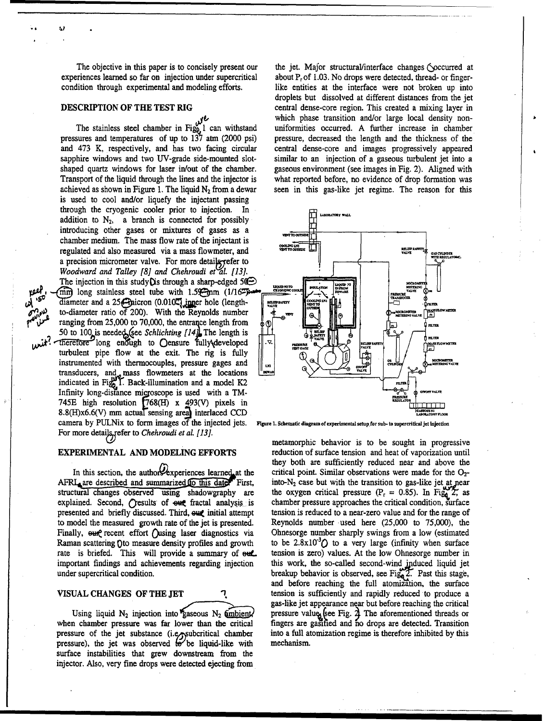achieved as shown in Figure 1. The liquid  $N_2$  from a dewar seen in this gas-like jet regime. The reason for this is used to cool and/or liquefy the injectant passing through the cryogenic cooler prior to injection. In addition to  $N_2$ , a branch is connected for possibly introducing other gases or mixtures of gases as a chamber medium. The mass flow rate of the injectant is regulated and also measured via a mass flowmeter, and a precision micrometer valve. For more detaile-refer to *Woodward and Talley [8] and Chehroudi et al. [13].* The injection in this study  $Q$  is through a sharp-edged 50 $\bigoplus$  $\text{mm}$  long stainless steel tube with 1.5 $\text{mm}$  (1/16<sup> $\text{m}$ </sup>) diameter and a  $25\bigoplus$ nicron (0.010<sup>2</sup>) inner hole (lengthto-diameter ratio of 200). With the Reynolds number  $\|\cdot\|_{\infty}$  and  $\|\cdot\|_{\infty}$   $\|\cdot\|_{\infty}$   $\|\cdot\|_{\infty}$ ranging from 25,000 to 70,000, the entrance length from  $\delta_{\mathbb{Q}}$   $\begin{bmatrix} \begin{matrix} 1 & 1 \end{matrix} & \begin{matrix} 1 & 1 \end{matrix} & \begin{matrix} 1 & 1 \end{matrix} & \begin{matrix} 1 & 1 \end{matrix} & \begin{matrix} 1 & 1 \end{matrix} & \begin{matrix} 1 & 1 \end{matrix} & \begin{matrix} 1 & 1 \end{matrix} & \begin{matrix} 1 & 1 \end{matrix} & \begin{matrix} 1 & 1 \end{matrix} & \begin$ 50 to 100 is needed (see *Schlichting [14]* The length is  $\|\cdot\|$   $\frac{1}{2}$   $\frac{1}{2}$   $\frac{1}{2}$   $\frac{1}{2}$   $\frac{1}{2}$   $\frac{1}{2}$   $\frac{1}{2}$   $\frac{1}{2}$   $\frac{1}{2}$   $\frac{1}{2}$   $\frac{1}{2}$   $\frac{1}{2}$   $\frac{1}{2}$   $\frac{1}{2}$   $\frac{1}{2}$   $\frac{1$  $\mu$   $\mu$   $t$  . Therefore long enough to Oensure fully developed  $\|\cdot\|$  and  $\sum_{\text{meas}}$  fully  $\sum_{\text{meas}}$  fully  $\sum_{\text{meas}}$  fully  $\sum_{\text{meas}}$  fully  $\sum_{\text{meas}}$  fully  $\sum_{\text{meas}}$  fully  $\sum_{\text{meas}}$  fully  $\sum_{\text{meas}}$  fully turbulent pipe flow at the exit. The rig is fully instrumented with thermocouples, pressure gages and transducers, and mass flowmeters at the locations  $\qquad \qquad \qquad \qquad \qquad \bigotimes$ indicated in Fig. 1. Back-illumination and a model K2 Infinity long-distance micoscope is used with a TM-745E high resolution  $(768(H) \times 493(V)$  pixels in 8.8(H)x6.6(V) mm actuaT sensing area interlaced **CCD** camera by PULNix to form images of the injected jets. **Flgure .** Scematic dlagrumofexperimental seupfor sub.to supercritical jet Injection For more details, refer to *Chehroudi et al. [13]*.

أعق

structural changes observed using shadowgraphy are the oxygen critical pressure  $(P_r = 0.85)$ . In Fig. 2, as explained. Second, Cresults of  $\Theta$ ut fractal analysis is chamber pressure approaches the critical condition, surface to model the measured growth rate of the jet is presented. Reynolds number used here (25,000 to 75,000), the Finally, our evect effort Qusing laser diagnostics via Ohnesorge number sharply swings from a low (estimated Raman scattering Qto measure density profiles and growth to be  $2.8 \times 10^{-3}$  to a very large (infinity when surface rate is briefed. This will provide a summary of eut tension is zero) values. At the low Ohnesorge number in important findings and achievements regarding injection this work, the so-called second-wind induced liquid jet

when chamber pressure was far lower than the critical fingers are gasified and no drops are detected. Transition pressure of the jet substance (i.e<sub>J</sub>subcritical chamber into a full atomization regime is therefore inhibited by this pressure), the jet was observed  $\mathbf{e}$  be liquid-like with mechanism. surface instabilities that grew downstream from the injector. Also, very fine drops were detected ejecting from

The objective in this paper is to concisely present our the jet. Major structural/interface changes ( $\Diamond$ occurred at experiences learned so far on injection under supercritical about P<sub>r</sub> of 1.03. No drops were detected, thread- or fingercondition through experimental and modeling efforts. like entities at the interface were not broken up into droplets but dissolved at different distances from the jet **DESCRIPTION OF THE TEST RIG** central dense-core region. This created a mixing layer in **journal which phase transition and/or large local density non-**<br>The stainless steel chamber in Fig<sub>0</sub>, 1 can withstand uniformities occurred. A further increase in chamber uniformities occurred. A further increase in chamber pressures and temperatures of up to 137 atm (2000 psi) pressure, decreased the length and the thickness of the and 473 K, respectively, and has two facing circular central dense-core and images progressively appeared sapphire windows and two UV-grade side-mounted slot-<br>similar to an injection of a gaseous turbulent jet into a shaped quartz windows for laser in/out of the chamber. gaseous environment (see images in Fig. 2). Aligned with Transport of the liquid through the lines and the injector is what reported before, no evidence of drop formation was



metamorphic behavior is to be sought in progressive **EXPERIMENTAL AND MODELING EFFORTS** reduction of surface tension and heat of vaporization until they both are sufficiently reduced near and above the In this section, the authors experiences learned at the critical point. Similar observations were made for the  $O_2$ - $A FRI$ <sub>a</sub>are described and summarized to this date<sup>r-</sup> First, into-N<sub>2</sub> case but with the transition to gas-like jet at near presented and briefly discussed. Third,  $\omega$  initial attempt tension is reduced to a near-zero value and for the range of under supercritical condition. breakup behavior is observed, see Fig. 2. Past this stage, and before reaching the full atomization, the surface VISUAL CHANGES OF THE **JET** tension is sufficiently and rapidly reduced to produce a gas-like jet appearance near but before reaching the critical Using liquid N<sub>2</sub> injection into gaseous N<sub>2</sub>  $\frac{\text{ambient}}{\text{m}}$  pressure value (see Fig. 2) The aforementioned threads or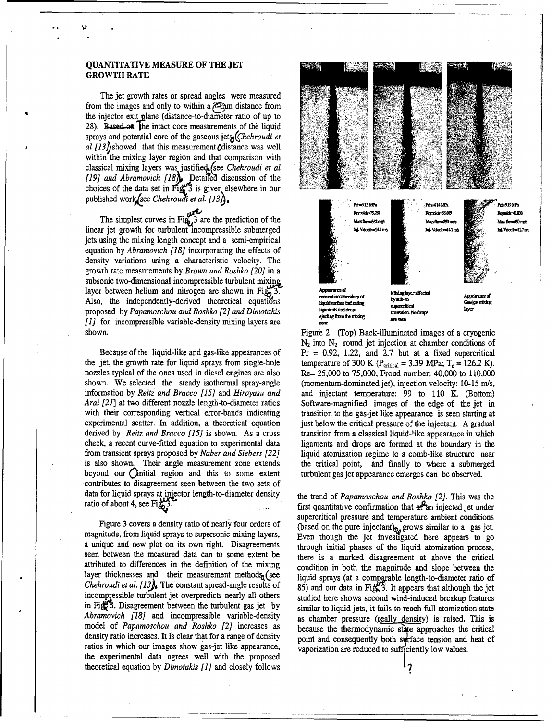### **QUANTITATIVE MEASURE** OF THE **JET** GROWTH RATE

The jet growth rates or spread angles were measured from the images and only to within a  $\overline{q}$ -mm distance from the injector exit plane (distance-to-diameter ratio of up to 28). Based on the intact core measurements of the liquid sprays and potential core of the gaseous *jets* (*Chehroudi et*  $a$  [13] showed that this measurement  $\Omega$  distance was well within the mixing layer region and that comparison with classical mixing layers was justified (see *Chehroudi et al b* choices of the data set in  $\text{Fig. 3}$  is given elsewhere in our

The simplest curves in Fig. 3 are the prediction of the jets using the mixing length concept and a semi-empirical equation by *Abramovich [18]* incorporating the effects of density variations using a characteristic velocity. The growth rate measurements by *Brown and Roshko [20]* in a subsonic two-dimensional incompressible turbulent mixing layer between helium and nitrogen are shown in Fig. 3. **Appearance** of a **Appearance** of  $\frac{1}{2}$ Also, the independently-derived theoretical equations **convenions** treatapor by by the constructions and the conventions of the conventions of the conventions of the conventions of the conventions of the conventions of the proposed by *Papamoschou and Roshko [2] and Dimotakis requests and drops requests and the ansignal voltage [1]* for incompressible variable-density mixing layers are shown. Figure 2. (Top) Back-illuminated images of a cryogenic

the jet, the growth rate for liquid sprays from single-hole temperature of 300 K ( $P_{critical} = 3.39$  MPa;  $T_c = 126.2$  K). nozzles typical of the ones used in diesel engines are also Re= 25,000 to 75,000, Froud number: 40,000 to 110,000 shown. We selected the steady isothermal spray-angle (momentum-dominated jet), injection velocity: 10-15 m/s, information by *Reitz and Bracco [15]* and *Hiroyasu and* and injectant temperature: 99 to 110 K. (Bottom) *Arai [21]* at two different nozzle length-to-diameter ratios Software-magnified images of the edge of the jet in with their corresponding vertical error-bands indicating transition to the gas-jet like appearance is seen starting at experimental scatter. In addition, a theoretical equation just below the critical pressure of the injectant. A gradual derived by Reitz and Bracco [15] is shown. As a cross transition from a classical liquid-like appearance in which check, a recent curve-fitted equation to experimental data ligaments and drops are formed at the boundary in the from transient sprays proposed by *Naber and Siebers* [22] liquid atomization regime to a comb-like structure near is also shown. Their angle measurement zone extends the critical point, and finally to where a submerged beyond our Qinitial region and this to some extent turbulent gas jet appearance emerges can be observed. contributes to disagreement seen between the two sets of. data for liquid sprays at injector length-to-diameter density the trend of *Papamoschou and Roshko [2]*. This was the

magnitude, from liquid sprays to supersonic mixing layers, Even though the jet investigated here appears to go a unique and new plot on its own right. Disagreements through initial phases of the liquid atomization process, seen between the measured data can to some extent be there is a marked disagreement at above the critical attributed to differences in the definition of the mixing condition in both the magnitude and slope between the layer thicknesses and their measurement methods (see liquid sprays (at a comparable length-to-diameter ratio of *Chehroudi et al.*  $[13]$ , The constant spread-angle results of 85) and our data in Fig. 3. It appears that although the jet incompressible turbulent jet overpredicts nearly all others studied here shows second wind-induced breakup features in Fig. 3. Disagreement between the turbulent gas jet by similar to liquid jets, it fails to reach full atomization state *Abramovich [18]* and incompressible variable-density as chamber pressure (really density) is raised. This is model of *Papamoschou and Roshko* [2] increases as because the thermodynamic state approaches the critical density ratio increases. It is clear that for a range of density point and consequently both surface tension and heat of ratios in which our images show gas-jet like appearance, vaporization are reduced to sufficiently low values. the experimental data agrees well with the proposed theoretical equation by *Dimotakis [1]* and closely follows '7



**N2** into **N2** round jet injection at chamber conditions of Because of the liquid-like and gas-like appearances of Pr **=** 0.92, 1.22, and 2.7 but at a fixed supercritical

ratio of about 4, see Fig.  $\frac{3}{2}$ . First quantitative confirmation that  $\frac{1}{2}$  first quantitative confirmation that  $\frac{1}{2}$  and injected jet under supercritical pressure and temperature ambient conditions Figure 3 covers a density ratio of nearly four orders of (based on the pure injectant) grows similar to a gas jet.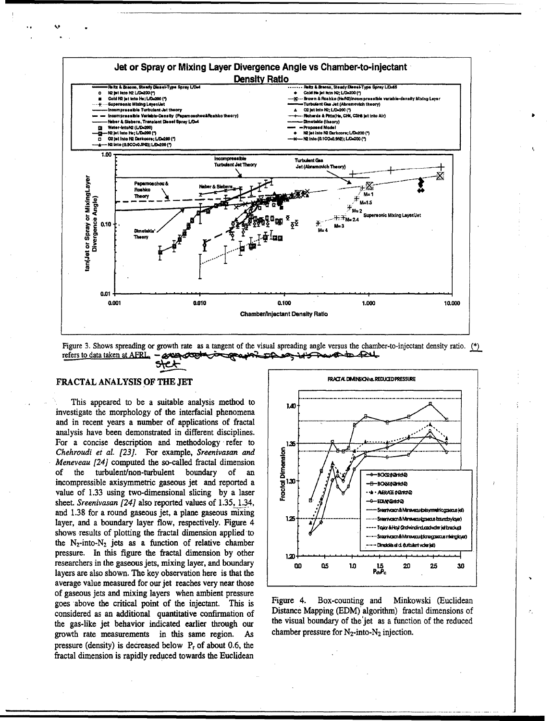





### **FRACTAL ANALYSIS OF THE JET**

This appeared to be a suitable analysis method to investigate the morphology of the interfacial phenomena and in recent years a number of applications of fractal analysis have been demonstrated in different disciplines. For a concise description and methodology refer to Chehroudi et al. [23]. For example, Sreenivasan and Meneveau [24] computed the so-called fractal dimension the turbulent/non-turbulent boundary of an of. incompressible axisymmetric gaseous jet and reported a value of 1.33 using two-dimensional slicing by a laser sheet. Sreenivasan [24] also reported values of 1.35, 1.34, and 1.38 for a round gaseous jet, a plane gaseous mixing layer, and a boundary layer flow, respectively. Figure 4 shows results of plotting the fractal dimension applied to the  $N_2$ -into- $N_2$  jets as a function of relative chamber pressure. In this figure the fractal dimension by other researchers in the gaseous jets, mixing layer, and boundary layers are also shown. The key observation here is that the average value measured for our jet reaches very near those of gaseous jets and mixing layers when ambient pressure goes above the critical point of the injectant. This is considered as an additional quantitative confirmation of the gas-like jet behavior indicated earlier through our growth rate measurements in this same region. As pressure (density) is decreased below  $P_r$  of about 0.6, the fractal dimension is rapidly reduced towards the Euclidean



Figure 4. Box-counting and Minkowski (Euclidean Distance Mapping (EDM) algorithm) fractal dimensions of the visual boundary of the jet as a function of the reduced chamber pressure for  $N_2$ -into- $N_2$  injection.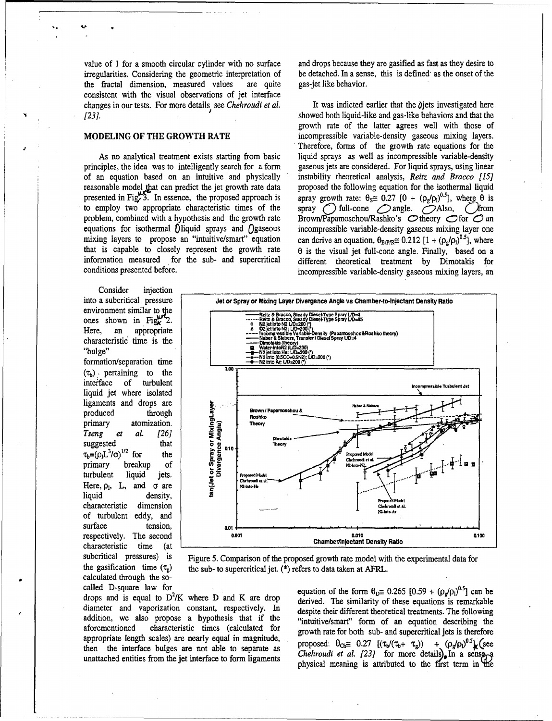value of 1 for a smooth circular cylinder with no surface and drops because they are gasified as fast as they desire to irregularities. Considering the geometric interpretation of be detached. In a sense, this is defined a irregularities. Considering the geometric interpretation of be detached. In a sense, the fractal dimension, measured values are quite gas-jet like behavior. the fractal dimension, measured values are quite consistent with the visual observations of jet interface changes in our tests. For more details see *Chehroudi et al.* It was indicted earlier that the  $\theta$ jets investigated here *[23].* showed both liquid-like and gas-like behaviors and that the

principles, the idea was to intelligently search for a form of an equation based on an intuitive and physically instability theoretical analysis, *Reitz and Bracco [15)* reasonable model that can predict the jet growth rate data proposed the following equation for the isothermal liquid presented in Fig. 3. In essence, the proposed approach is spray growth rate:  $\theta_s \equiv 0.27 [0 + (\rho_s/\rho_0)^{0.5}]$ presented in Fig.<sup>03</sup>. In essence, the proposed approach is spray growth rate:  $\theta_s \equiv 0.27 [0 + (\rho_g/\rho_l)^{0.5}]$ , where  $\theta$  is to employ two appropriate characteristic times of the spray  $\bigcap$  full-cone  $\bigcap$  angle.  $\bigcap$  Also problem, combined with a hypothesis and the growth rate Brown/Papamoschou/Rashko's  $\bigcirc$  theory  $\bigcirc$  of  $\bigcirc$  an equations for isothermal 0liquid sprays and Qgaseous incompressible variable-density gaseous mixing layer one mixing layers to propose an "intuitive/smart" equation that is capable to closely represent the growth rate that is capable to closely represent the growth rate  $\theta$  is the visual jet full-cone angle. Finally, based on a information measured for the sub- and supercritical different theoretical treatment by Dimotakis for conditions presented before. incompressible variable-density gaseous mixing layers, an

growth rate of the latter agrees well with those of **MODELING OF THE GROWTH RATE** incompressible variable-density gaseous mixing layers. Therefore, forms of the growth rate equations for the As no analytical treatment exists starting from basic liquid sprays as well as incompressible variable-density ciples, the idea was to intelligently search for a form gaseous jets are considered. For liquid sprays, using l spray  $\bigcirc$  full-cone  $\bigcirc$  angle.  $\bigcirc$  Also,  $\bigcirc$  from  $\overline{)}^{0.5}$ , where different theoretical treatment by Dimotakis for

Consider injection **environment similar to the** 

formation/separation time **L**  $(\tau_b)$  pertaining to the interface of turbulent liquid jet where isolated ligaments and drops are matrix and drops are<br>
produced through<br>
primary atomization.<br>
Tseng et al. [26]<br>
suggested that<br>  $\tau_b = (\rho_l L^3/\sigma)^{1/2}$  for the<br>
primary breakup of<br>
turbulent liquid jets.<br>
Here,  $\rho_l$ , L, and  $\sigma$  are<br>
liquid density. *Tseng et al [26]* < suggested that  $\tau_b = (\rho_l L^3/\sigma)^{1/2}$  for the **primary** breakup of turbulent liquid jets. Here,  $\rho_1$ , L, and  $\sigma$  are of turbulent eddy, and surface tension, **b** a<sub>01</sub> characteristic time (at calculated through the so-



subcritical pressures) is Figure 5. Comparison of the proposed growth rate model with the experimental data for the gasification time  $(\tau_g)$  the sub- to supercritical jet. (\*) refers to data taken at AFRL.

drops and is equal to  $D^2/K$  where D and K are drop diameter and vaporization constant, respectively. In despite their different theoretical treatments. The following addition, we also propose a hypothesis that if the "intuitive/smart" form of an equation describing the aforementioned characteristic times (calculated for growth rate for both sub- and supercritical jets is therefore appropriate length scales) are nearly equal in magnitude, then the interface bulges are not able to separate as  $C_1$  for more details  $C_2$  in  $C_3$   $C_4$   $C_5$   $C_6$   $C_7$   $C_8$   $C_9$   $C_9$   $C_9$   $C_9$   $C_9$   $C_9$   $C_9$   $C_9$   $C_9$   $C_9$   $C_9$   $C_9$   $C_9$   $C_9$   $C_9$   $C_9$   $C_$ 

called D-square law for<br>drops and is squal to  $D^2/V$  where D and V are drops equation of the form  $\theta_D \approx 0.265 [0.59 + (\rho_g/\rho_l)^{0.5}]$  can be derived. The similarity of these equations is remarkable  $5.7$ unattached entities from the jet interface to form ligaments physical meaning is attributed to the first term in the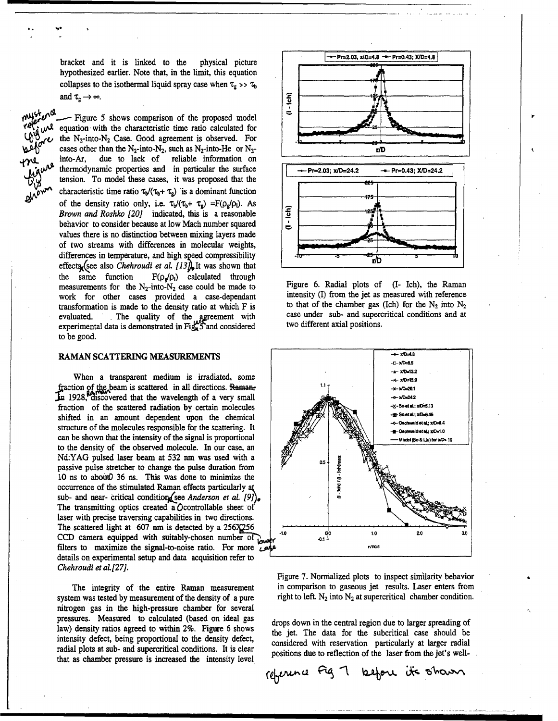hypothesized earlier. Note that, in the limit, this equation collapses to the isothermal liquid spray case when  $\tau_g \gg \tau_b$ and  $\tau_{\rm g} \rightarrow \infty$ .

- Figure 5 shows comparison of the proposed model equation with the characteristic time ratio calculated for the N<sub>2</sub>-into-N<sub>2</sub> Case. Good agreement is observed. For cases other than the N<sub>2</sub>-into-N<sub>2</sub>, such as N<sub>2</sub>-into-He or N<sub>2</sub>-<br>into-Ar, due to lack of reliable information on into-Ar, due to lack of reliable information on *thermodynamic properties and in particular the surface*  $\sqrt{\frac{+}{\sqrt{D}}r=2.03; x/D=24.2}$   $\rightarrow Pr=0.43; X/D=24.2$ tension. To model these cases, it was proposed that the **\_ -** of the density ratio only, i.e.  $\tau_y(\tau_b + \tau_g) = F(\rho_g/\rho_l)$ . As  $\begin{bmatrix} 1/5 \\ 0 \end{bmatrix}$ *Brown and Roshko [20]* indicated, this is a reasonable<br>behavior to consider because at low Mach number squared behavior to consider because at low Mach number squared values there is no distinction between mixing layers made of two streams with differences in molecular weights, differences in temperature, and high speed compressibility effects<sub>x</sub> (see also *Chehroudi et al. [13]*, It was shown that the same function  $F(\rho_g/\rho_l)$  calculated through the same function  $F(\rho_g/\rho_l)$  calculated through measurements for the N<sub>2</sub>-into-N<sub>2</sub> case could be made to Figure 6. Radial plots of (I- Ich), the Raman work for other cases provided a case-dependant intensity (I) from the jet as measured with reference work for other cases provided a case-dependant intensity (I) from the jet as measured with reference<br>transformation is made to the density ratio at which F is to that of the chamber gas (Ich) for the N<sub>2</sub> into N<sub>2</sub> transformation is made to the density ratio at which F is to that of the chamber gas (Ich) for the N<sub>2</sub> into N<sub>2</sub> evaluated The quality of the agreement with case under sub- and supercritical conditions and at evaluated. The quality of the agreement with case under sub- and supercritical conditions and at experimental data is demonstrated in  $Fig. 5$  and considered two different axial positions. to be good.

When a transparent medium is irradiated, some  $\frac{1}{100}$   $\frac{1}{100}$   $\frac{1}{100}$   $\frac{1}{100}$ fraction of the beam is scattered in all directions. Raman, 1928, discovered that the wavelength of a very small **Solution** and the serves of the serves of the serves of the serves of the serves of the serves of the serves of the serves of the serves of the serves of the serves of fraction of the scattered radiation by certain molecules  $\frac{1}{2}$   $\frac{1}{2}$   $\frac{1}{2}$   $\frac{1}{2}$   $\frac{1}{2}$   $\frac{1}{2}$   $\frac{1}{2}$   $\frac{1}{2}$   $\frac{1}{2}$   $\frac{1}{2}$   $\frac{1}{2}$   $\frac{1}{2}$   $\frac{1}{2}$   $\frac{1}{2}$   $\frac{1}{2}$   $\frac{1}{2}$   $\frac{$ shifted in an amount dependent upon the chemical  $\left|\frac{1}{\sqrt{2}}\right| \leq \left|\frac{1}{\sqrt{2}}\right|$ structure of the molecules responsible for the scattering. It OhwmidetaI1;4 **d-\*-** XO-.0 can be shown that the intensity of the signal is proportional  $\mathbb{Z}^{\mathbb{Z}}$   $\mathbb{Z}^{\mathbb{Z}}$   $\mathbb{Z}$   $\mathbb{Z}$   $\mathbb{Z}$   $\mathbb{Z}$   $\mathbb{Z}$   $\mathbb{Z}$   $\mathbb{Z}$   $\mathbb{Z}$   $\mathbb{Z}$   $\mathbb{Z}$   $\mathbb{Z}$   $\mathbb{Z}$   $\mathbb{Z}$   $\mathbb{Z}$  to the density of the observed molecule. In our case, an Nd:YAG pulsed laser beam at 532 nm was used with a passive pulse stretcher to change the pulse duration from 10 ns to aboutO 36 ns. This was done to minimize the occurrence of the stimulated Raman effects particularly ak sub- and near- critical condition (see *Anderson et al. [9]*). The transmitting optics created a *O*controllable sheet of laser with precise traversing capabilities in two directions. The scattered light at 607 nm is detected by a 256X256 CCD camera equipped with suitably-chosen number of  $\frac{1}{2}$   $\frac{10}{2.0}$   $\frac{9}{2.0}$   $\frac{10}{2.0}$  2.0. filters to maximize the signal-to-noise ratio. For more  $\overline{A}^{\beta}$  *A IPROS* details on experimental setup and data acquisition refer to *Chehroudi et aL[27].*

system was tested by measurement of the density of a pure right to left.  $N_2$  into  $N_2$  at supercritical chamber condition. nitrogen gas in the high-pressure chamber for several pressures. Measured to calculated (based on ideal gas drops down in the central region due to larger spreading of law) density ratios agreed to within 2%. Figure 6 shows the jet. The data for the subcritical case should be intensity defect, being proportional to the density defect, considered with reservation particularly at larger radial radial plots at sub- and supercritical conditions. It is clear positions due to reflection of the laser from the jet's wellthat as chamber pressure is increased the intensity level





Figure 7. Normalized plots to inspect similarity behavior The integrity of the entire Raman measurement in comparison to gaseous jet results. Laser enters from

 $\alpha$   $\alpha$   $\beta$   $\beta$   $\gamma$   $\beta$   $\beta$   $\gamma$   $\alpha$   $\beta$   $\gamma$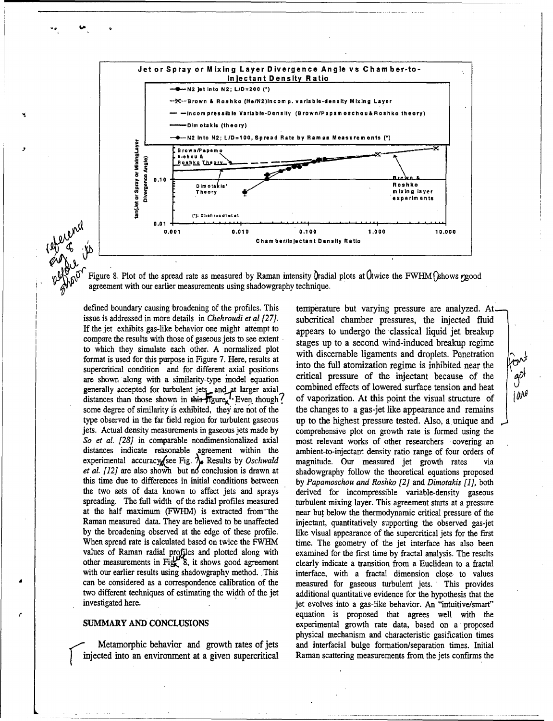

Figure 8. Plot of the spread rate as measured by Raman intensity  $\int$ radial plots at  $\int$ twice the FWHM $\int$ khows rgood agreement with our earlier measurements using shadowgraphy technique.

defined boundary causing broadening of the profiles. This issue is addressed in more details in *Chehroudi et al [27]*. If the jet exhibits gas-like behavior one might attempt to compare the results with those of gaseous jets to see extent to which they simulate each other. A normalized plot format is used for this purpose in Figure 7. Here, results at supercritical condition and for different axial positions are shown along with a similarity-type model equation generally accepted for turbulent jets and at larger axial<br>distances than those shown in this figure, Even though? some degree of similarity is exhibited, they are not of the type observed in the far field region for turbulent gaseous jets. Actual density measurements in gaseous jets made by So et al. [28] in comparable nondimensionalized axial distances indicate reasonable agreement within the experimental accuracy (see Fig.  $\lambda$ . Results by Oschwald et al. [12] are also shown but no conclusion is drawn at this time due to differences in initial conditions between the two sets of data known to affect jets and sprays spreading. The full width of the radial profiles measured at the half maximum (FWHM) is extracted from the Raman measured data. They are believed to be unaffected by the broadening observed at the edge of these profile. When spread rate is calculated based on twice the FWHM values of Raman radial profiles and plotted along with other measurements in Fig.  $\mathbb{R}$  8, it shows good agreement with our earlier results using shadowgraphy method. This can be considered as a correspondence calibration of the two different techniques of estimating the width of the jet investigated here.

### SUMMARY AND CONCLUSIONS

Metamorphic behavior and growth rates of jets injected into an environment at a given supercritical

temperature but varying pressure are analyzed. At subcritical chamber pressures, the injected fluid appears to undergo the classical liquid jet breakup stages up to a second wind-induced breakup regime with discernable ligaments and droplets. Penetration into the full atomization regime is inhibited near the critical pressure of the injectant because of the combined effects of lowered surface tension and heat of vaporization. At this point the visual structure of the changes to a gas-jet like appearance and remains up to the highest pressure tested. Also, a unique and comprehensive plot on growth rate is formed using the most relevant works of other researchers covering an ambient-to-injectant density ratio range of four orders of magnitude. Our measured jet growth rates via shadowgraphy follow the theoretical equations proposed by Papamoschou and Roshko [2] and Dimotakis [1], both derived for incompressible variable-density gaseous turbulent mixing layer. This agreement starts at a pressure near but below the thermodynamic critical pressure of the injectant, quantitatively supporting the observed gas-jet like visual appearance of the supercritical jets for the first time. The geometry of the jet interface has also been examined for the first time by fractal analysis. The results clearly indicate a transition from a Euclidean to a fractal interface, with a fractal dimension close to values measured for gaseous turbulent jets. This provides additional quantitative evidence for the hypothesis that the jet evolves into a gas-like behavior. An "intuitive/smart" equation is proposed that agrees well with the experimental growth rate data, based on a proposed physical mechanism and characteristic gasification times and interfacial bulge formation/separation times. Initial Raman scattering measurements from the jets confirms the

gô

iang